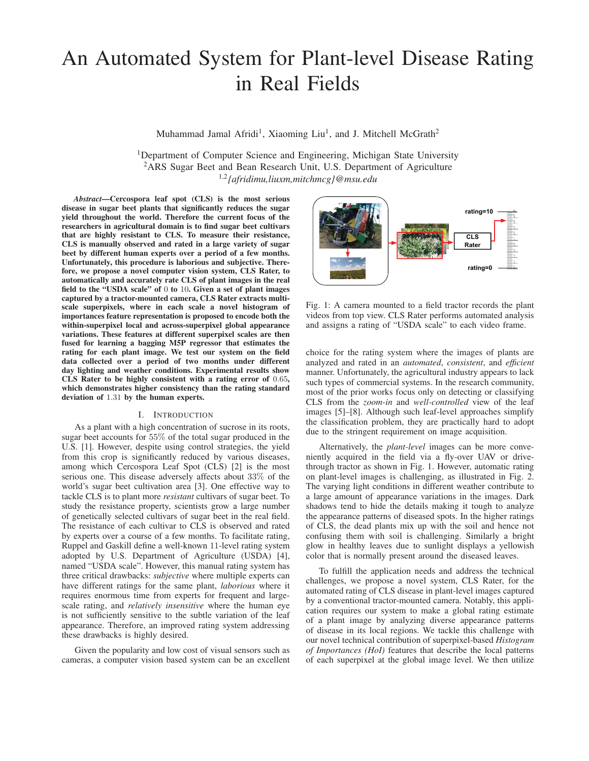# An Automated System for Plant-level Disease Rating in Real Fields

Muhammad Jamal Afridi<sup>1</sup>, Xiaoming Liu<sup>1</sup>, and J. Mitchell McGrath<sup>2</sup>

<sup>1</sup>Department of Computer Science and Engineering, Michigan State University <sup>2</sup>ARS Sugar Beet and Bean Research Unit, U.S. Department of Agriculture 1,2*{afridimu,liuxm,mitchmcg}@msu.edu*

*Abstract*—Cercospora leaf spot (CLS) is the most serious disease in sugar beet plants that significantly reduces the sugar yield throughout the world. Therefore the current focus of the researchers in agricultural domain is to find sugar beet cultivars that are highly resistant to CLS. To measure their resistance, CLS is manually observed and rated in a large variety of sugar beet by different human experts over a period of a few months. Unfortunately, this procedure is laborious and subjective. Therefore, we propose a novel computer vision system, CLS Rater, to automatically and accurately rate CLS of plant images in the real field to the "USDA scale" of 0 to 10. Given a set of plant images captured by a tractor-mounted camera, CLS Rater extracts multiscale superpixels, where in each scale a novel histogram of importances feature representation is proposed to encode both the within-superpixel local and across-superpixel global appearance variations. These features at different superpixel scales are then fused for learning a bagging M5P regressor that estimates the rating for each plant image. We test our system on the field data collected over a period of two months under different day lighting and weather conditions. Experimental results show CLS Rater to be highly consistent with a rating error of 0.65, which demonstrates higher consistency than the rating standard deviation of 1.31 by the human experts.

# I. INTRODUCTION

As a plant with a high concentration of sucrose in its roots, sugar beet accounts for 55% of the total sugar produced in the U.S. [1]. However, despite using control strategies, the yield from this crop is significantly reduced by various diseases, among which Cercospora Leaf Spot (CLS) [2] is the most serious one. This disease adversely affects about 33% of the world's sugar beet cultivation area [3]. One effective way to tackle CLS is to plant more *resistant* cultivars of sugar beet. To study the resistance property, scientists grow a large number of genetically selected cultivars of sugar beet in the real field. The resistance of each cultivar to CLS is observed and rated by experts over a course of a few months. To facilitate rating, Ruppel and Gaskill define a well-known 11-level rating system adopted by U.S. Department of Agriculture (USDA) [4], named "USDA scale". However, this manual rating system has three critical drawbacks: *subjective* where multiple experts can have different ratings for the same plant, *laborious* where it requires enormous time from experts for frequent and largescale rating, and *relatively insensitive* where the human eye is not sufficiently sensitive to the subtle variation of the leaf appearance. Therefore, an improved rating system addressing these drawbacks is highly desired.

Given the popularity and low cost of visual sensors such as cameras, a computer vision based system can be an excellent



Fig. 1: A camera mounted to a field tractor records the plant videos from top view. CLS Rater performs automated analysis and assigns a rating of "USDA scale" to each video frame.

choice for the rating system where the images of plants are analyzed and rated in an *automated*, *consistent*, and *efficient* manner. Unfortunately, the agricultural industry appears to lack such types of commercial systems. In the research community, most of the prior works focus only on detecting or classifying CLS from the *zoom-in* and *well-controlled* view of the leaf images [5]–[8]. Although such leaf-level approaches simplify the classification problem, they are practically hard to adopt due to the stringent requirement on image acquisition.

Alternatively, the *plant-level* images can be more conveniently acquired in the field via a fly-over UAV or drivethrough tractor as shown in Fig. 1. However, automatic rating on plant-level images is challenging, as illustrated in Fig. 2. The varying light conditions in different weather contribute to a large amount of appearance variations in the images. Dark shadows tend to hide the details making it tough to analyze the appearance patterns of diseased spots. In the higher ratings of CLS, the dead plants mix up with the soil and hence not confusing them with soil is challenging. Similarly a bright glow in healthy leaves due to sunlight displays a yellowish color that is normally present around the diseased leaves.

To fulfill the application needs and address the technical challenges, we propose a novel system, CLS Rater, for the automated rating of CLS disease in plant-level images captured by a conventional tractor-mounted camera. Notably, this application requires our system to make a global rating estimate of a plant image by analyzing diverse appearance patterns of disease in its local regions. We tackle this challenge with our novel technical contribution of superpixel-based *Histogram of Importances (HoI)* features that describe the local patterns of each superpixel at the global image level. We then utilize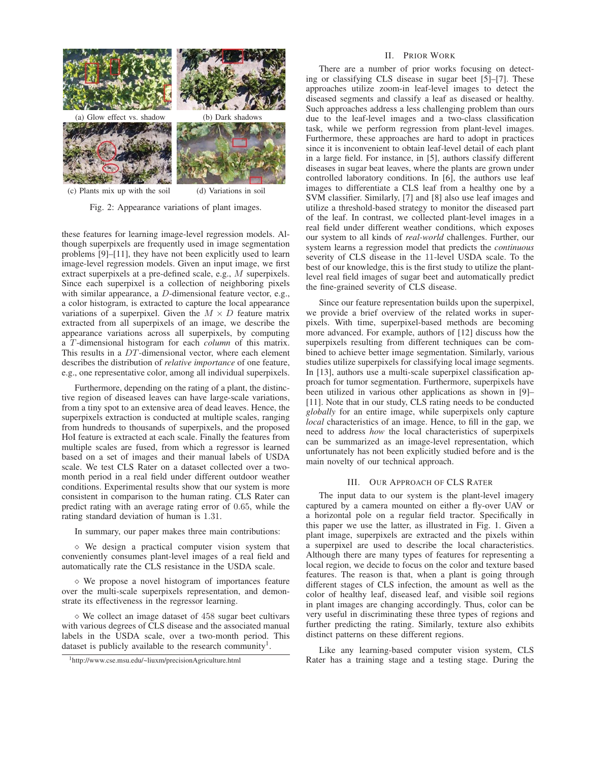

(c) Plants mix up with the soil (d) Variations in soil

Fig. 2: Appearance variations of plant images.

these features for learning image-level regression models. Although superpixels are frequently used in image segmentation problems [9]–[11], they have not been explicitly used to learn image-level regression models. Given an input image, we first extract superpixels at a pre-defined scale, e.g., M superpixels. Since each superpixel is a collection of neighboring pixels with similar appearance, a D-dimensional feature vector, e.g., a color histogram, is extracted to capture the local appearance variations of a superpixel. Given the  $M \times D$  feature matrix extracted from all superpixels of an image, we describe the appearance variations across all superpixels, by computing a T-dimensional histogram for each *column* of this matrix. This results in a DT-dimensional vector, where each element describes the distribution of *relative importance* of one feature, e.g., one representative color, among all individual superpixels.

Furthermore, depending on the rating of a plant, the distinctive region of diseased leaves can have large-scale variations, from a tiny spot to an extensive area of dead leaves. Hence, the superpixels extraction is conducted at multiple scales, ranging from hundreds to thousands of superpixels, and the proposed HoI feature is extracted at each scale. Finally the features from multiple scales are fused, from which a regressor is learned based on a set of images and their manual labels of USDA scale. We test CLS Rater on a dataset collected over a twomonth period in a real field under different outdoor weather conditions. Experimental results show that our system is more consistent in comparison to the human rating. CLS Rater can predict rating with an average rating error of 0.65, while the rating standard deviation of human is 1.31.

In summary, our paper makes three main contributions:

- We design a practical computer vision system that conveniently consumes plant-level images of a real field and automatically rate the CLS resistance in the USDA scale.

- We propose a novel histogram of importances feature over the multi-scale superpixels representation, and demonstrate its effectiveness in the regressor learning.

- We collect an image dataset of 458 sugar beet cultivars with various degrees of CLS disease and the associated manual labels in the USDA scale, over a two-month period. This dataset is publicly available to the research community<sup>1</sup>.

#### II. PRIOR WORK

There are a number of prior works focusing on detecting or classifying CLS disease in sugar beet [5]–[7]. These approaches utilize zoom-in leaf-level images to detect the diseased segments and classify a leaf as diseased or healthy. Such approaches address a less challenging problem than ours due to the leaf-level images and a two-class classification task, while we perform regression from plant-level images. Furthermore, these approaches are hard to adopt in practices since it is inconvenient to obtain leaf-level detail of each plant in a large field. For instance, in [5], authors classify different diseases in sugar beat leaves, where the plants are grown under controlled laboratory conditions. In [6], the authors use leaf images to differentiate a CLS leaf from a healthy one by a SVM classifier. Similarly, [7] and [8] also use leaf images and utilize a threshold-based strategy to monitor the diseased part of the leaf. In contrast, we collected plant-level images in a real field under different weather conditions, which exposes our system to all kinds of *real-world* challenges. Further, our system learns a regression model that predicts the *continuous* severity of CLS disease in the 11-level USDA scale. To the best of our knowledge, this is the first study to utilize the plantlevel real field images of sugar beet and automatically predict the fine-grained severity of CLS disease.

Since our feature representation builds upon the superpixel, we provide a brief overview of the related works in superpixels. With time, superpixel-based methods are becoming more advanced. For example, authors of [12] discuss how the superpixels resulting from different techniques can be combined to achieve better image segmentation. Similarly, various studies utilize superpixels for classifying local image segments. In [13], authors use a multi-scale superpixel classification approach for tumor segmentation. Furthermore, superpixels have been utilized in various other applications as shown in [9]– [11]. Note that in our study, CLS rating needs to be conducted *globally* for an entire image, while superpixels only capture *local* characteristics of an image. Hence, to fill in the gap, we need to address *how* the local characteristics of superpixels can be summarized as an image-level representation, which unfortunately has not been explicitly studied before and is the main novelty of our technical approach.

# III. OUR APPROACH OF CLS RATER

The input data to our system is the plant-level imagery captured by a camera mounted on either a fly-over UAV or a horizontal pole on a regular field tractor. Specifically in this paper we use the latter, as illustrated in Fig. 1. Given a plant image, superpixels are extracted and the pixels within a superpixel are used to describe the local characteristics. Although there are many types of features for representing a local region, we decide to focus on the color and texture based features. The reason is that, when a plant is going through different stages of CLS infection, the amount as well as the color of healthy leaf, diseased leaf, and visible soil regions in plant images are changing accordingly. Thus, color can be very useful in discriminating these three types of regions and further predicting the rating. Similarly, texture also exhibits distinct patterns on these different regions.

Like any learning-based computer vision system, CLS Rater has a training stage and a testing stage. During the

<sup>1</sup>http://www.cse.msu.edu/~liuxm/precisionAgriculture.html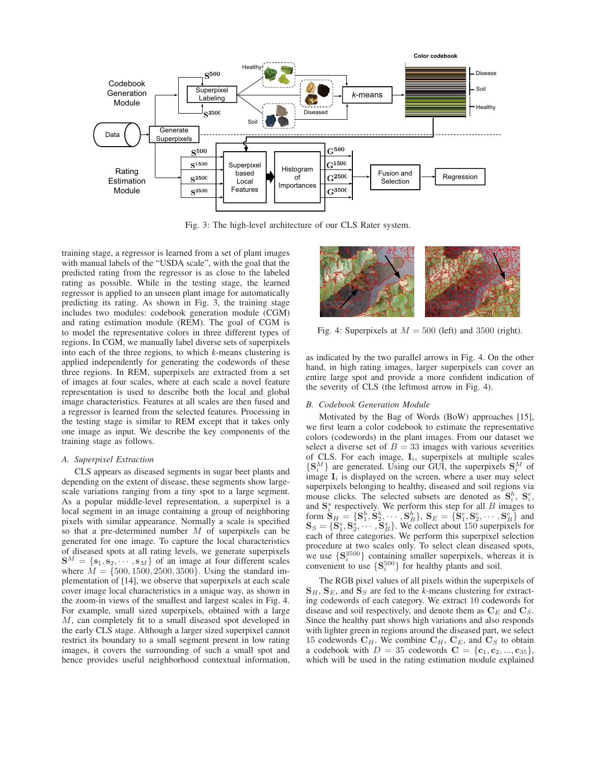

Fig. 3: The high-level architecture of our CLS Rater system.

training stage, a regressor is learned from a set of plant images with manual labels of the "USDA scale", with the goal that the predicted rating from the regressor is as close to the labeled rating as possible. While in the testing stage, the learned regressor is applied to an unseen plant image for automatically predicting its rating. As shown in Fig. 3, the training stage includes two modules: codebook generation module (CGM) and rating estimation module (REM). The goal of CGM is to model the representative colors in three different types of regions. In CGM, we manually label diverse sets of superpixels into each of the three regions, to which *k*-means clustering is applied independently for generating the codewords of these three regions. In REM, superpixels are extracted from a set of images at four scales, where at each scale a novel feature representation is used to describe both the local and global image characteristics. Features at all scales are then fused and a regressor is learned from the selected features. Processing in the testing stage is similar to REM except that it takes only one image as input. We describe the key components of the training stage as follows.

# *A. Superpixel Extraction*

CLS appears as diseased segments in sugar beet plants and depending on the extent of disease, these segments show largescale variations ranging from a tiny spot to a large segment. As a popular middle-level representation, a superpixel is a local segment in an image containing a group of neighboring pixels with similar appearance. Normally a scale is specified so that a pre-determined number M of superpixels can be generated for one image. To capture the local characteristics of diseased spots at all rating levels, we generate superpixels  $S^M = \{s_1, s_2, \cdots, s_M\}$  of an image at four different scales where  $\dot{M} = \{500, 1500, 2500, 3500\}$ . Using the standard implementation of [14], we observe that superpixels at each scale cover image local characteristics in a unique way, as shown in the zoom-in views of the smallest and largest scales in Fig. 4. For example, small sized superpixels, obtained with a large M, can completely fit to a small diseased spot developed in the early CLS stage. Although a larger sized superpixel cannot restrict its boundary to a small segment present in low rating images, it covers the surrounding of such a small spot and hence provides useful neighborhood contextual information,



Fig. 4: Superpixels at  $M = 500$  (left) and 3500 (right).

as indicated by the two parallel arrows in Fig. 4. On the other hand, in high rating images, larger superpixels can cover an entire large spot and provide a more confident indication of the severity of CLS (the leftmost arrow in Fig. 4).

## *B. Codebook Generation Module*

Motivated by the Bag of Words (BoW) approaches [15], we first learn a color codebook to estimate the representative colors (codewords) in the plant images. From our dataset we select a diverse set of  $B = 33$  images with various severities of CLS. For each image,  $I_i$ , superpixels at multiple scales  $\{S_i^M\}$  are generated. Using our GUI, the superpixels  $S_i^M$  of image L is displayed on the screen, where a user may select image  $I_i$  is displayed on the screen, where a user may select superpixels belonging to healthy, diseased and soil regions via mouse clicks. The selected subsets are denoted as  $S_{i}^{h}$ ,  $S_{i}^{e}$ , and  $S_{i}^{s}$  respectively. We perform this step for all *B* images to and  $S_i^s$  form  $S_i^s$ and  $S_i^s$  respectively. We perform this step for all B images to form  $\dot{\mathbf{S}}_H = \{\mathbf{S}_1^h, \dot{\mathbf{S}}_2^h, \cdots, \mathbf{S}_B^h\}$ ,  $\mathbf{S}_E = \{\dot{\mathbf{S}}_1^e, \dot{\mathbf{S}}_2^e, \cdots, \dot{\mathbf{S}}_B^e\}$  and  $\mathbf{S}_S = \{\mathbf{S}_1^s, \mathbf{S}_2^s, \cdots, \mathbf{S}_B^s\}$ . We collect about 150 superpixels for each of three cat each of three categories. We perform this superpixel selection procedure at two scales only. To select clean diseased spots, we use  $\{S_i^{3500}\}\$  containing smaller superpixels, whereas it is convenient to use  $\{S_i^{500}\}\$  for healthy plants and soil convenient to use  $\{S_i^{500}\}\$  for healthy plants and soil.

The RGB pixel values of all pixels within the superpixels of  $\mathbf{S}_H$ ,  $\mathbf{S}_E$ , and  $\mathbf{S}_S$  are fed to the *k*-means clustering for extracting codewords of each category. We extract 10 codewords for disease and soil respectively, and denote them as  $C_E$  and  $C_S$ . Since the healthy part shows high variations and also responds with lighter green in regions around the diseased part, we select 15 codewords  $C_H$ . We combine  $C_H$ ,  $C_E$ , and  $C_S$  to obtain a codebook with  $D = 35$  codewords  $C = \{c_1, c_2, ..., c_{35}\},\$ which will be used in the rating estimation module explained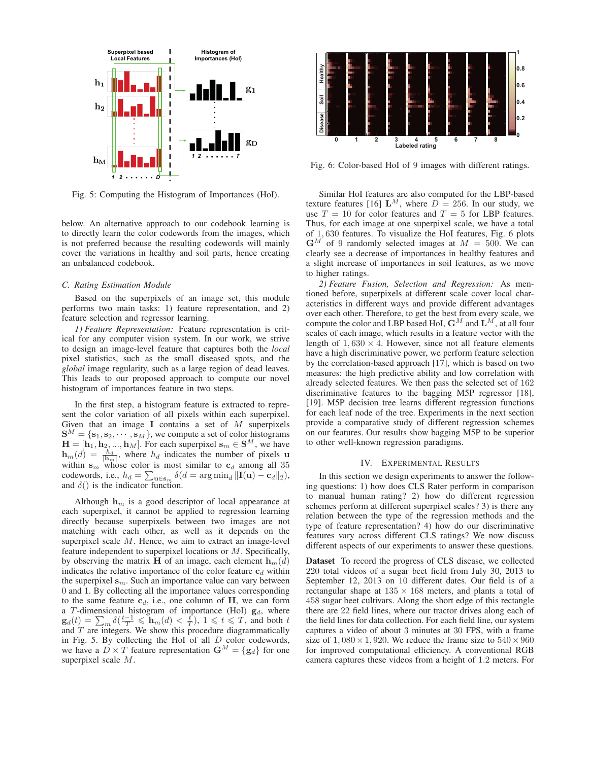

Fig. 5: Computing the Histogram of Importances (HoI).

below. An alternative approach to our codebook learning is to directly learn the color codewords from the images, which is not preferred because the resulting codewords will mainly cover the variations in healthy and soil parts, hence creating an unbalanced codebook.

## *C. Rating Estimation Module*

Based on the superpixels of an image set, this module performs two main tasks: 1) feature representation, and 2) feature selection and regressor learning.

*1) Feature Representation:* Feature representation is critical for any computer vision system. In our work, we strive to design an image-level feature that captures both the *local* pixel statistics, such as the small diseased spots, and the *global* image regularity, such as a large region of dead leaves. This leads to our proposed approach to compute our novel histogram of importances feature in two steps.

In the first step, a histogram feature is extracted to represent the color variation of all pixels within each superpixel. Given that an image **I** contains a set of <sup>M</sup> superpixels  $S^M = \{s_1, s_2, \dots, s_M\}$ , we compute a set of color histograms  $\mathbf{H} = [\mathbf{h}_1, \mathbf{h}_2, ..., \mathbf{h}_M]$ . For each superpixel  $\mathbf{s}_m \in \mathbf{S}^M$ , we have  $h_m(d) = \frac{h_d}{h_m}$ , where  $h_d$  indicates the number of pixels **u** within s whose color is most similar to c among all 35 within  $\mathbf{s}_m$  whose color is most similar to  $\mathbf{c}_d$  among all 35 codewords, i.e.,  $h_d = \sum_{\mathbf{u} \in \mathbf{s}_m} \delta(d = \arg \min_d ||\mathbf{I}(\mathbf{u}) - \mathbf{c}_d||_2),$ and  $\delta()$  is the indicator function.

Although  $h_m$  is a good descriptor of local appearance at each superpixel, it cannot be applied to regression learning directly because superpixels between two images are not matching with each other, as well as it depends on the superpixel scale M. Hence, we aim to extract an image-level feature independent to superpixel locations or M. Specifically, by observing the matrix **H** of an image, each element  $\mathbf{h}_m(d)$ indicates the relative importance of the color feature  $c_d$  within the superpixel  $\mathbf{s}_m$ . Such an importance value can vary between 0 and 1. By collecting all the importance values corresponding to the same feature  $c_d$ , i.e., one column of  $H$ , we can form a T-dimensional histogram of importance (HoI)  $\mathbf{g}_d$ , where  $\mathbf{g}_d(t) = \sum_m \delta(\frac{t-1}{T} \leq \mathbf{h}_m(d) < \frac{t}{T})$ ,  $1 \leq t \leq T$ , and both the part of  $T$  are integers. We show this procedure diagrammatically and  $T$  are integers. We show this procedure diagrammatically in Fig. 5. By collecting the HoI of all D color codewords, we have a  $\vec{D} \times \vec{T}$  feature representation  $\mathbf{G}^M = {\mathbf{g}_d}$  for one superpixel scale M.



Fig. 6: Color-based HoI of 9 images with different ratings.

Similar HoI features are also computed for the LBP-based texture features [16]  $L^M$ , where  $D = 256$ . In our study, we use  $T = 10$  for color features and  $T = 5$  for LBP features. Thus, for each image at one superpixel scale, we have a total of 1, 630 features. To visualize the HoI features, Fig. 6 plots  $\mathbf{G}^{M}$  of 9 randomly selected images at  $M = 500$ . We can clearly see a decrease of importances in healthy features and a slight increase of importances in soil features, as we move to higher ratings.

*2) Feature Fusion, Selection and Regression:* As mentioned before, superpixels at different scale cover local characteristics in different ways and provide different advantages over each other. Therefore, to get the best from every scale, we compute the color and LBP based HoI,  $\mathbf{G}^{M}$  and  $\mathbf{L}^{M}$ , at all four scales of each image, which results in a feature vector with the length of  $1,630 \times 4$ . However, since not all feature elements have a high discriminative power, we perform feature selection by the correlation-based approach [17], which is based on two measures: the high predictive ability and low correlation with already selected features. We then pass the selected set of 162 discriminative features to the bagging M5P regressor [18], [19]. M5P decision tree learns different regression functions for each leaf node of the tree. Experiments in the next section provide a comparative study of different regression schemes on our features. Our results show bagging M5P to be superior to other well-known regression paradigms.

#### IV. EXPERIMENTAL RESULTS

In this section we design experiments to answer the following questions: 1) how does CLS Rater perform in comparison to manual human rating? 2) how do different regression schemes perform at different superpixel scales? 3) is there any relation between the type of the regression methods and the type of feature representation? 4) how do our discriminative features vary across different CLS ratings? We now discuss different aspects of our experiments to answer these questions.

Dataset To record the progress of CLS disease, we collected 220 total videos of a sugar beet field from July 30, 2013 to September 12, 2013 on 10 different dates. Our field is of a rectangular shape at  $135 \times 168$  meters, and plants a total of 458 sugar beet cultivars. Along the short edge of this rectangle there are 22 field lines, where our tractor drives along each of the field lines for data collection. For each field line, our system captures a video of about 3 minutes at 30 FPS, with a frame size of  $1,080 \times 1,920$ . We reduce the frame size to  $540 \times 960$ for improved computational efficiency. A conventional RGB camera captures these videos from a height of 1.2 meters. For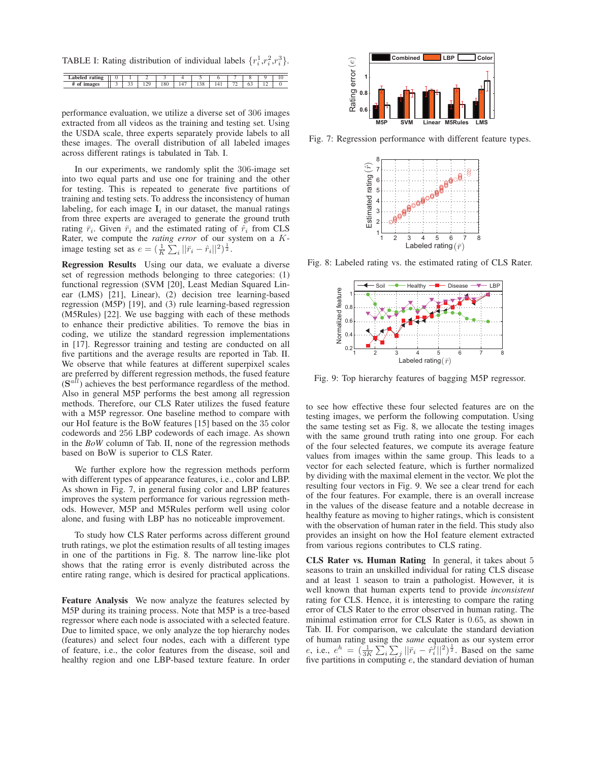TABLE I: Rating distribution of individual labels  $\{r_i^1, r_i^2, r_i^3\}$ .

| .ahr<br><br>∍ |           |                                      |      |                          |          |         |         |    |     |  |
|---------------|-----------|--------------------------------------|------|--------------------------|----------|---------|---------|----|-----|--|
| vı<br>ኈ       | o c<br>-- | $\alpha$<br>$\overline{\phantom{a}}$ | 10 U | $\overline{\phantom{a}}$ | -<br>120 | $1 - 1$ | --<br>. | v. | . . |  |

performance evaluation, we utilize a diverse set of 306 images extracted from all videos as the training and testing set. Using the USDA scale, three experts separately provide labels to all these images. The overall distribution of all labeled images across different ratings is tabulated in Tab. I.

In our experiments, we randomly split the 306-image set into two equal parts and use one for training and the other for testing. This is repeated to generate five partitions of training and testing sets. To address the inconsistency of human labeling, for each image  $I_i$  in our dataset, the manual ratings from three experts are averaged to generate the ground truth rating  $\bar{r}_i$ . Given  $\bar{r}_i$  and the estimated rating of  $\hat{r}_i$  from CLS Rater, we compute the *rating error* of our system on a Kimage testing set as  $e = \left(\frac{1}{K} \sum_i ||\bar{r}_i - \hat{r}_i||^2\right)^{\frac{1}{2}}$ .

Regression Results Using our data, we evaluate a diverse set of regression methods belonging to three categories: (1) functional regression (SVM [20], Least Median Squared Linear (LMS) [21], Linear), (2) decision tree learning-based regression (M5P) [19], and (3) rule learning-based regression (M5Rules) [22]. We use bagging with each of these methods to enhance their predictive abilities. To remove the bias in coding, we utilize the standard regression implementations in [17]. Regressor training and testing are conducted on all five partitions and the average results are reported in Tab. II. We observe that while features at different superpixel scales are preferred by different regression methods, the fused feature (**S**all) achieves the best performance regardless of the method. Also in general M5P performs the best among all regression methods. Therefore, our CLS Rater utilizes the fused feature with a M5P regressor. One baseline method to compare with our HoI feature is the BoW features [15] based on the 35 color codewords and 256 LBP codewords of each image. As shown in the *BoW* column of Tab. II, none of the regression methods based on BoW is superior to CLS Rater.

We further explore how the regression methods perform with different types of appearance features, i.e., color and LBP. As shown in Fig. 7, in general fusing color and LBP features improves the system performance for various regression methods. However, M5P and M5Rules perform well using color alone, and fusing with LBP has no noticeable improvement.

To study how CLS Rater performs across different ground truth ratings, we plot the estimation results of all testing images in one of the partitions in Fig. 8. The narrow line-like plot shows that the rating error is evenly distributed across the entire rating range, which is desired for practical applications.

Feature Analysis We now analyze the features selected by M5P during its training process. Note that M5P is a tree-based regressor where each node is associated with a selected feature. Due to limited space, we only analyze the top hierarchy nodes (features) and select four nodes, each with a different type of feature, i.e., the color features from the disease, soil and healthy region and one LBP-based texture feature. In order



Fig. 7: Regression performance with different feature types.



Fig. 8: Labeled rating vs. the estimated rating of CLS Rater.



Fig. 9: Top hierarchy features of bagging M5P regressor.

to see how effective these four selected features are on the testing images, we perform the following computation. Using the same testing set as Fig. 8, we allocate the testing images with the same ground truth rating into one group. For each of the four selected features, we compute its average feature values from images within the same group. This leads to a vector for each selected feature, which is further normalized by dividing with the maximal element in the vector. We plot the resulting four vectors in Fig. 9. We see a clear trend for each of the four features. For example, there is an overall increase in the values of the disease feature and a notable decrease in healthy feature as moving to higher ratings, which is consistent with the observation of human rater in the field. This study also provides an insight on how the HoI feature element extracted from various regions contributes to CLS rating.

CLS Rater vs. Human Rating In general, it takes about 5 seasons to train an unskilled individual for rating CLS disease and at least 1 season to train a pathologist. However, it is well known that human experts tend to provide *inconsistent* rating for CLS. Hence, it is interesting to compare the rating error of CLS Rater to the error observed in human rating. The minimal estimation error for CLS Rater is 0.65, as shown in Tab. II. For comparison, we calculate the standard deviation of human rating using the *same* equation as our system error e, i.e.,  $e^h = (\frac{1}{3K} \sum_i \sum_j ||\vec{r}_i - \hat{r}_i^2||^2)^{\frac{1}{2}}$ . Based on the same<br>five partitions in computing e the standard deviation of human five partitions in computing e, the standard deviation of human